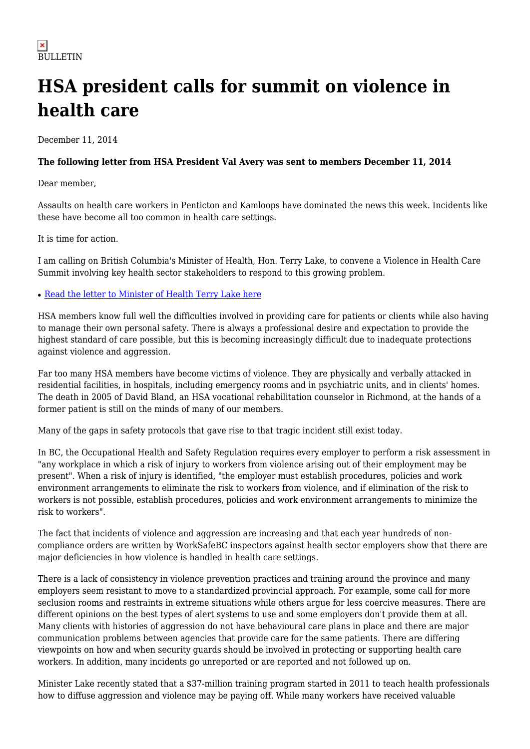## **HSA president calls for summit on violence in health care**

December 11, 2014

## **The following letter from HSA President Val Avery was sent to members December 11, 2014**

Dear member,

Assaults on health care workers in Penticton and Kamloops have dominated the news this week. Incidents like these have become all too common in health care settings.

It is time for action.

I am calling on British Columbia's Minister of Health, Hon. Terry Lake, to convene a Violence in Health Care Summit involving key health sector stakeholders to respond to this growing problem.

• [Read the letter to Minister of Health Terry Lake here](http://hsabc.org/sites/default/files/uploads/12-12-2014%20Minister%20Lake%20MoH.pdf)

HSA members know full well the difficulties involved in providing care for patients or clients while also having to manage their own personal safety. There is always a professional desire and expectation to provide the highest standard of care possible, but this is becoming increasingly difficult due to inadequate protections against violence and aggression.

Far too many HSA members have become victims of violence. They are physically and verbally attacked in residential facilities, in hospitals, including emergency rooms and in psychiatric units, and in clients' homes. The death in 2005 of David Bland, an HSA vocational rehabilitation counselor in Richmond, at the hands of a former patient is still on the minds of many of our members.

Many of the gaps in safety protocols that gave rise to that tragic incident still exist today.

In BC, the Occupational Health and Safety Regulation requires every employer to perform a risk assessment in "any workplace in which a risk of injury to workers from violence arising out of their employment may be present". When a risk of injury is identified, "the employer must establish procedures, policies and work environment arrangements to eliminate the risk to workers from violence, and if elimination of the risk to workers is not possible, establish procedures, policies and work environment arrangements to minimize the risk to workers".

The fact that incidents of violence and aggression are increasing and that each year hundreds of noncompliance orders are written by WorkSafeBC inspectors against health sector employers show that there are major deficiencies in how violence is handled in health care settings.

There is a lack of consistency in violence prevention practices and training around the province and many employers seem resistant to move to a standardized provincial approach. For example, some call for more seclusion rooms and restraints in extreme situations while others argue for less coercive measures. There are different opinions on the best types of alert systems to use and some employers don't provide them at all. Many clients with histories of aggression do not have behavioural care plans in place and there are major communication problems between agencies that provide care for the same patients. There are differing viewpoints on how and when security guards should be involved in protecting or supporting health care workers. In addition, many incidents go unreported or are reported and not followed up on.

Minister Lake recently stated that a \$37-million training program started in 2011 to teach health professionals how to diffuse aggression and violence may be paying off. While many workers have received valuable